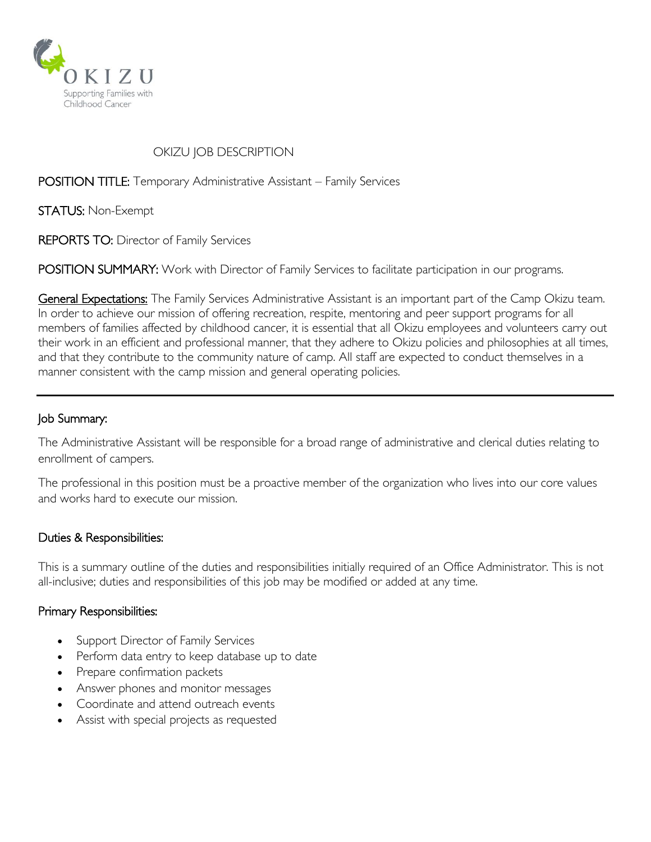

# OKIZU JOB DESCRIPTION

POSITION TITLE: Temporary Administrative Assistant – Family Services

STATUS: Non-Exempt

REPORTS TO: Director of Family Services

POSITION SUMMARY: Work with Director of Family Services to facilitate participation in our programs.

General Expectations: The Family Services Administrative Assistant is an important part of the Camp Okizu team. In order to achieve our mission of offering recreation, respite, mentoring and peer support programs for all members of families affected by childhood cancer, it is essential that all Okizu employees and volunteers carry out their work in an efficient and professional manner, that they adhere to Okizu policies and philosophies at all times, and that they contribute to the community nature of camp. All staff are expected to conduct themselves in a manner consistent with the camp mission and general operating policies.

### Job Summary:

The Administrative Assistant will be responsible for a broad range of administrative and clerical duties relating to enrollment of campers.

The professional in this position must be a proactive member of the organization who lives into our core values and works hard to execute our mission.

### Duties & Responsibilities:

This is a summary outline of the duties and responsibilities initially required of an Office Administrator. This is not all-inclusive; duties and responsibilities of this job may be modified or added at any time.

### Primary Responsibilities:

- Support Director of Family Services
- Perform data entry to keep database up to date
- Prepare confirmation packets
- Answer phones and monitor messages
- Coordinate and attend outreach events
- Assist with special projects as requested